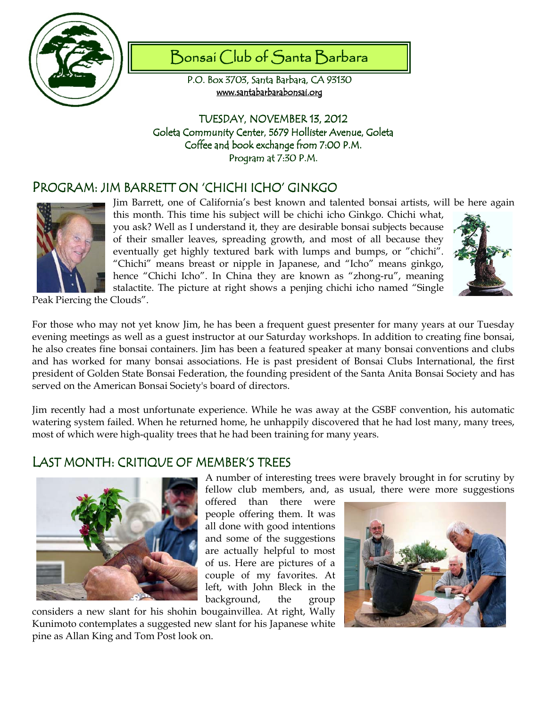

# Bonsai Club of Santa Barbara

P.O. Box 3703, Santa Barbara, CA 93130 www.santabarbarabonsai.org

TUESDAY, NOVEMBER 13, 2012 Goleta Community Center, 5679 Hollister Avenue, Goleta Coffee and book exchange from 7:00 P.M. Program at 7:30 P.M.

## PROGRAM: JIM BARRETT ON 'CHICHI ICHO' GINKGO



Jim Barrett, one of California's best known and talented bonsai artists, will be here again this month. This time his subject will be chichi icho Ginkgo. Chichi what, you ask? Well as I understand it, they are desirable bonsai subjects because of their smaller leaves, spreading growth, and most of all because they eventually get highly textured bark with lumps and bumps, or "chichi". "Chichi" means breast or nipple in Japanese, and "Icho" means ginkgo, hence "Chichi Icho". In China they are known as "zhong-ru", meaning stalactite. The picture at right shows a penjing chichi icho named "Single



Peak Piercing the Clouds".

For those who may not yet know Jim, he has been a frequent guest presenter for many years at our Tuesday evening meetings as well as a guest instructor at our Saturday workshops. In addition to creating fine bonsai, he also creates fine bonsai containers. Jim has been a featured speaker at many bonsai conventions and clubs and has worked for many bonsai associations. He is past president of Bonsai Clubs International, the first president of Golden State Bonsai Federation, the founding president of the Santa Anita Bonsai Society and has served on the American Bonsai Society's board of directors.

Jim recently had a most unfortunate experience. While he was away at the GSBF convention, his automatic watering system failed. When he returned home, he unhappily discovered that he had lost many, many trees, most of which were high-quality trees that he had been training for many years.

#### LAST MONTH: CRITIQUE OF MEMBER'S TREES



A number of interesting trees were bravely brought in for scrutiny by fellow club members, and, as usual, there were more suggestions

offered than there were people offering them. It was all done with good intentions and some of the suggestions are actually helpful to most of us. Here are pictures of a couple of my favorites. At left, with John Bleck in the background, the group

considers a new slant for his shohin bougainvillea. At right, Wally Kunimoto contemplates a suggested new slant for his Japanese white pine as Allan King and Tom Post look on.